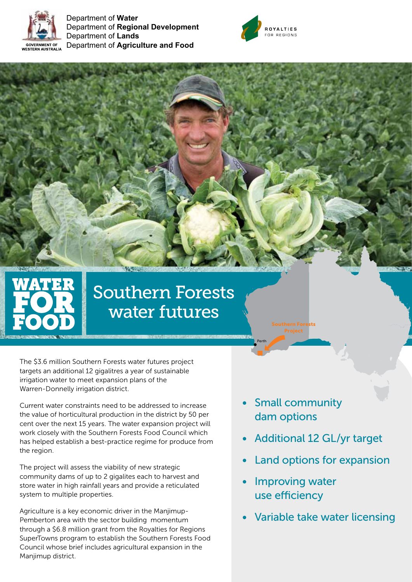

Department of **Water** Department of **Regional Development** Department of **Lands** Department of **Agriculture and Food**



# Southern Forests water futures

The \$3.6 million Southern Forests water futures project targets an additional 12 gigalitres a year of sustainable irrigation water to meet expansion plans of the Warren-Donnelly irrigation district.

Current water constraints need to be addressed to increase the value of horticultural production in the district by 50 per cent over the next 15 years. The water expansion project will work closely with the Southern Forests Food Council which has helped establish a best-practice regime for produce from the region.

The project will assess the viability of new strategic community dams of up to 2 gigalites each to harvest and store water in high rainfall years and provide a reticulated system to multiple properties.

Agriculture is a key economic driver in the Manjimup-Pemberton area with the sector building momentum through a \$6.8 million grant from the Royalties for Regions SuperTowns program to establish the Southern Forests Food Council whose brief includes agricultural expansion in the Manjimup district.

**Small community** dam options

Southern Forests

Perth

- Additional 12 GL/yr target
- Land options for expansion
- Improving water use efficiency
- Variable take water licensing